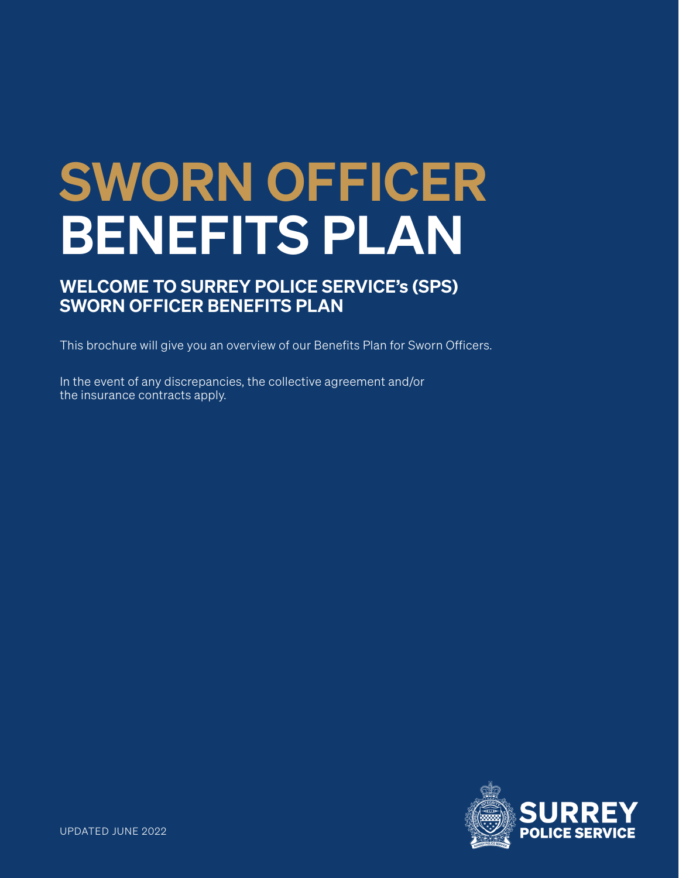# SWORN OFFICER BENEFITS PLAN

# WELCOME TO SURREY POLICE SERVICE's (SPS) SWORN OFFICER BENEFITS PLAN

This brochure will give you an overview of our Benefits Plan for Sworn Officers.

In the event of any discrepancies, the collective agreement and/or the insurance contracts apply.

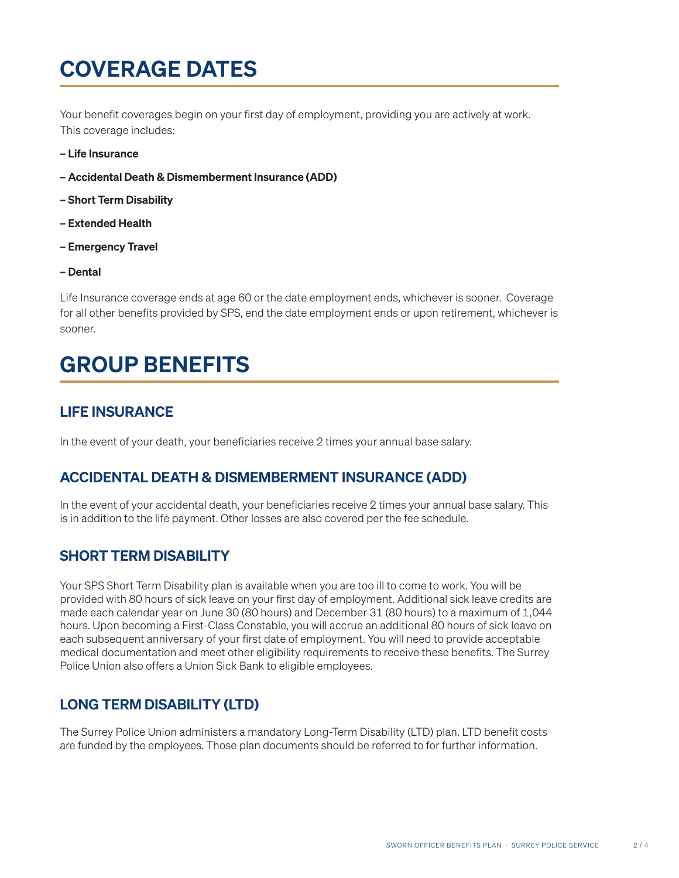# COVERAGE DATES

Your benefit coverages begin on your first day of employment, providing you are actively at work. This coverage includes:

- Life Insurance
- Accidental Death & Dismemberment Insurance (ADD)
- Short Term Disability
- Extended Health
- Emergency Travel
- Dental

Life Insurance coverage ends at age 60 or the date employment ends, whichever is sooner. Coverage for all other benefits provided by SPS, end the date employment ends or upon retirement, whichever is sooner.

# GROUP BENEFITS

# LIFE INSURANCE

In the event of your death, your beneficiaries receive 2 times your annual base salary.

# ACCIDENTAL DEATH & DISMEMBERMENT INSURANCE (ADD)

In the event of your accidental death, your beneficiaries receive 2 times your annual base salary. This is in addition to the life payment. Other losses are also covered per the fee schedule.

# SHORT TERM DISABILITY

Your SPS Short Term Disability plan is available when you are too ill to come to work. You will be provided with 80 hours of sick leave on your first day of employment. Additional sick leave credits are made each calendar year on June 30 (80 hours) and December 31 (80 hours) to a maximum of 1,044 hours. Upon becoming a First-Class Constable, you will accrue an additional 80 hours of sick leave on each subsequent anniversary of your first date of employment. You will need to provide acceptable medical documentation and meet other eligibility requirements to receive these benefits. The Surrey Police Union also offers a Union Sick Bank to eligible employees.

# LONG TERM DISABILITY (LTD)

The Surrey Police Union administers a mandatory Long-Term Disability (LTD) plan. LTD benefit costs are funded by the employees. Those plan documents should be referred to for further information.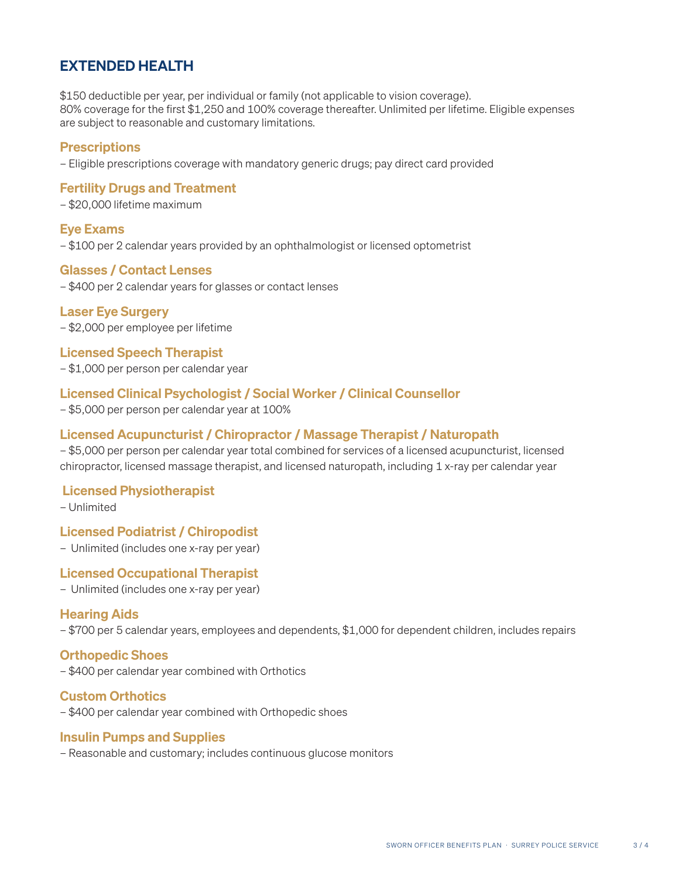# EXTENDED HEALTH

\$150 deductible per year, per individual or family (not applicable to vision coverage). 80% coverage for the first \$1,250 and 100% coverage thereafter. Unlimited per lifetime. Eligible expenses are subject to reasonable and customary limitations.

#### **Prescriptions**

– Eligible prescriptions coverage with mandatory generic drugs; pay direct card provided

#### Fertility Drugs and Treatment

– \$20,000 lifetime maximum

#### Eye Exams

– \$100 per 2 calendar years provided by an ophthalmologist or licensed optometrist

#### Glasses / Contact Lenses

– \$400 per 2 calendar years for glasses or contact lenses

#### Laser Eye Surgery

– \$2,000 per employee per lifetime

#### Licensed Speech Therapist

– \$1,000 per person per calendar year

#### Licensed Clinical Psychologist / Social Worker / Clinical Counsellor

– \$5,000 per person per calendar year at 100%

#### Licensed Acupuncturist / Chiropractor / Massage Therapist / Naturopath

– \$5,000 per person per calendar year total combined for services of a licensed acupuncturist, licensed chiropractor, licensed massage therapist, and licensed naturopath, including 1 x-ray per calendar year

#### Licensed Physiotherapist

– Unlimited

#### Licensed Podiatrist / Chiropodist

– Unlimited (includes one x-ray per year)

#### Licensed Occupational Therapist

– Unlimited (includes one x-ray per year)

#### Hearing Aids

– \$700 per 5 calendar years, employees and dependents, \$1,000 for dependent children, includes repairs

#### Orthopedic Shoes

– \$400 per calendar year combined with Orthotics

#### Custom Orthotics

– \$400 per calendar year combined with Orthopedic shoes

#### Insulin Pumps and Supplies

– Reasonable and customary; includes continuous glucose monitors